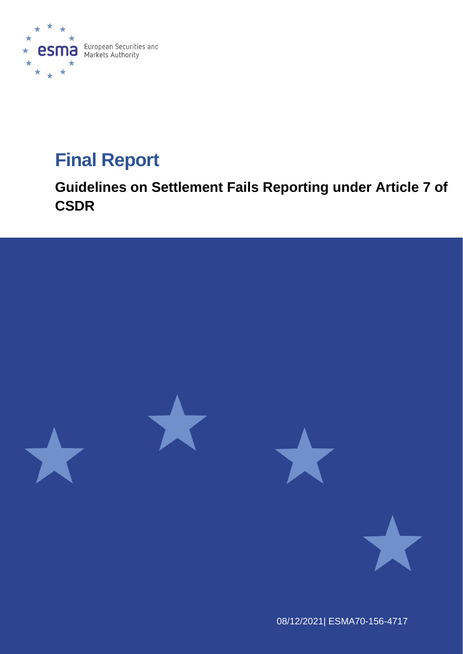

# **Final Report**

**Guidelines on Settlement Fails Reporting under Article 7 of CSDR**



08/12/2021| ESMA70-156-4717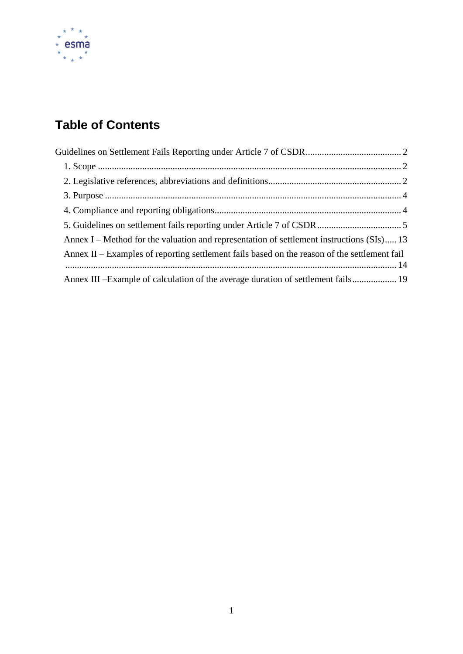

# **Table of Contents**

| Annex I – Method for the valuation and representation of settlement instructions $(SIs)$ 13  |
|----------------------------------------------------------------------------------------------|
| Annex II – Examples of reporting settlement fails based on the reason of the settlement fail |
|                                                                                              |
| Annex III – Example of calculation of the average duration of settlement fails 19            |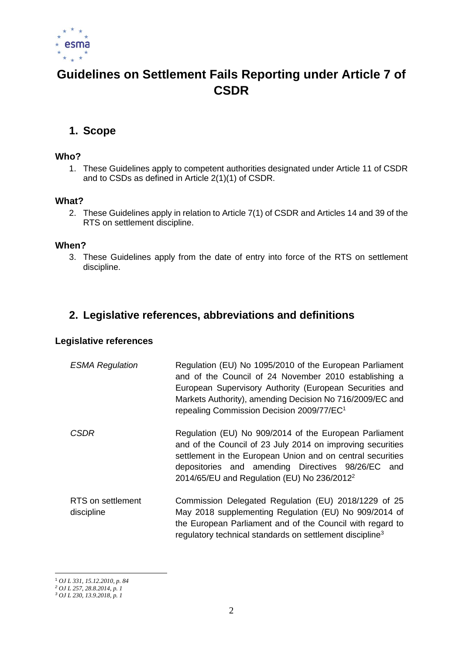

# <span id="page-2-0"></span>**Guidelines on Settlement Fails Reporting under Article 7 of CSDR**

# <span id="page-2-1"></span>**1. Scope**

#### **Who?**

1. These Guidelines apply to competent authorities designated under Article 11 of CSDR and to CSDs as defined in Article 2(1)(1) of CSDR.

#### **What?**

2. These Guidelines apply in relation to Article 7(1) of CSDR and Articles 14 and 39 of the RTS on settlement discipline.

#### **When?**

3. These Guidelines apply from the date of entry into force of the RTS on settlement discipline.

### <span id="page-2-2"></span>**2. Legislative references, abbreviations and definitions**

#### **Legislative references**

| <b>ESMA Regulation</b>          | Regulation (EU) No 1095/2010 of the European Parliament<br>and of the Council of 24 November 2010 establishing a<br>European Supervisory Authority (European Securities and<br>Markets Authority), amending Decision No 716/2009/EC and<br>repealing Commission Decision 2009/77/EC <sup>1</sup> |
|---------------------------------|--------------------------------------------------------------------------------------------------------------------------------------------------------------------------------------------------------------------------------------------------------------------------------------------------|
| <b>CSDR</b>                     | Regulation (EU) No 909/2014 of the European Parliament<br>and of the Council of 23 July 2014 on improving securities<br>settlement in the European Union and on central securities<br>depositories and amending Directives 98/26/EC and<br>2014/65/EU and Regulation (EU) No $236/2012^2$        |
| RTS on settlement<br>discipline | Commission Delegated Regulation (EU) 2018/1229 of 25<br>May 2018 supplementing Regulation (EU) No 909/2014 of<br>the European Parliament and of the Council with regard to<br>regulatory technical standards on settlement discipline <sup>3</sup>                                               |

<sup>1</sup> *OJ L 331, 15.12.2010, p. 84*

*<sup>2</sup> OJ L 257, 28.8.2014, p. 1*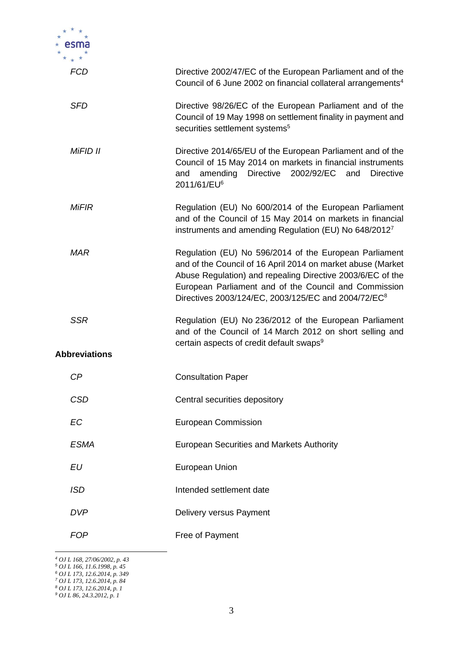| FCD                  | Directive 2002/47/EC of the European Parliament and of the<br>Council of 6 June 2002 on financial collateral arrangements <sup>4</sup>                                                                                                                                                                          |
|----------------------|-----------------------------------------------------------------------------------------------------------------------------------------------------------------------------------------------------------------------------------------------------------------------------------------------------------------|
| <b>SFD</b>           | Directive 98/26/EC of the European Parliament and of the<br>Council of 19 May 1998 on settlement finality in payment and<br>securities settlement systems <sup>5</sup>                                                                                                                                          |
| MiFID II             | Directive 2014/65/EU of the European Parliament and of the<br>Council of 15 May 2014 on markets in financial instruments<br>amending<br><b>Directive</b><br>2002/92/EC<br><b>Directive</b><br>and<br>and<br>2011/61/EU <sup>6</sup>                                                                             |
| <b>MiFIR</b>         | Regulation (EU) No 600/2014 of the European Parliament<br>and of the Council of 15 May 2014 on markets in financial<br>instruments and amending Regulation (EU) No 648/2012 <sup>7</sup>                                                                                                                        |
| <b>MAR</b>           | Regulation (EU) No 596/2014 of the European Parliament<br>and of the Council of 16 April 2014 on market abuse (Market<br>Abuse Regulation) and repealing Directive 2003/6/EC of the<br>European Parliament and of the Council and Commission<br>Directives 2003/124/EC, 2003/125/EC and 2004/72/EC <sup>8</sup> |
| <b>SSR</b>           | Regulation (EU) No 236/2012 of the European Parliament<br>and of the Council of 14 March 2012 on short selling and<br>certain aspects of credit default swaps <sup>9</sup>                                                                                                                                      |
| <b>Abbreviations</b> |                                                                                                                                                                                                                                                                                                                 |
| CP                   | <b>Consultation Paper</b>                                                                                                                                                                                                                                                                                       |
| <b>CSD</b>           | Central securities depository                                                                                                                                                                                                                                                                                   |
| EC                   | <b>European Commission</b>                                                                                                                                                                                                                                                                                      |
| <b>ESMA</b>          | <b>European Securities and Markets Authority</b>                                                                                                                                                                                                                                                                |
| EU                   | <b>European Union</b>                                                                                                                                                                                                                                                                                           |
| <b>ISD</b>           | Intended settlement date                                                                                                                                                                                                                                                                                        |
| <b>DVP</b>           | Delivery versus Payment                                                                                                                                                                                                                                                                                         |
| <b>FOP</b>           | Free of Payment                                                                                                                                                                                                                                                                                                 |

*<sup>4</sup> OJ L 168, 27/06/2002, p. 43* 

*<sup>5</sup> OJ L 166, 11.6.1998, p. 45*

*<sup>6</sup> OJ L 173, 12.6.2014, p. 349*

*<sup>7</sup> OJ L 173, 12.6.2014, p. 84* 

*<sup>8</sup> OJ L 173, 12.6.2014, p. 1*

*<sup>9</sup> OJ L 86, 24.3.2012, p. 1*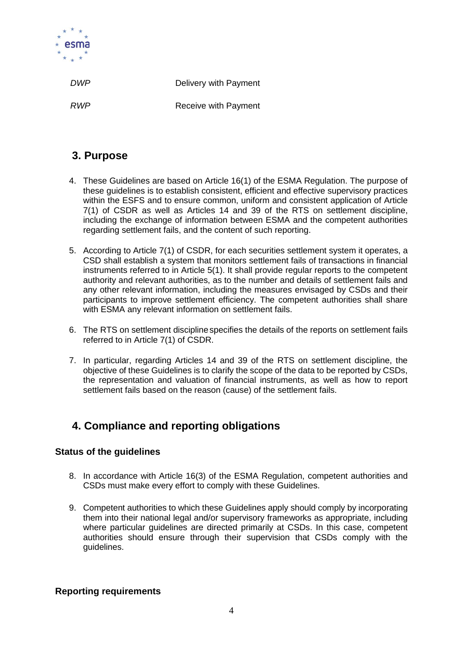

*DWP* Delivery with Payment

*RWP* Receive with Payment

# <span id="page-4-0"></span>**3. Purpose**

- 4. These Guidelines are based on Article 16(1) of the ESMA Regulation. The purpose of these guidelines is to establish consistent, efficient and effective supervisory practices within the ESFS and to ensure common, uniform and consistent application of Article 7(1) of CSDR as well as Articles 14 and 39 of the RTS on settlement discipline, including the exchange of information between ESMA and the competent authorities regarding settlement fails, and the content of such reporting.
- 5. According to Article 7(1) of CSDR, for each securities settlement system it operates, a CSD shall establish a system that monitors settlement fails of transactions in financial instruments referred to in Article 5(1). It shall provide regular reports to the competent authority and relevant authorities, as to the number and details of settlement fails and any other relevant information, including the measures envisaged by CSDs and their participants to improve settlement efficiency. The competent authorities shall share with ESMA any relevant information on settlement fails.
- 6. The RTS on settlement disciplinespecifies the details of the reports on settlement fails referred to in Article 7(1) of CSDR.
- 7. In particular, regarding Articles 14 and 39 of the RTS on settlement discipline, the objective of these Guidelines is to clarify the scope of the data to be reported by CSDs, the representation and valuation of financial instruments, as well as how to report settlement fails based on the reason (cause) of the settlement fails.

# <span id="page-4-1"></span>**4. Compliance and reporting obligations**

#### **Status of the guidelines**

- 8. In accordance with Article 16(3) of the ESMA Regulation, competent authorities and CSDs must make every effort to comply with these Guidelines.
- 9. Competent authorities to which these Guidelines apply should comply by incorporating them into their national legal and/or supervisory frameworks as appropriate, including where particular guidelines are directed primarily at CSDs. In this case, competent authorities should ensure through their supervision that CSDs comply with the guidelines.

#### **Reporting requirements**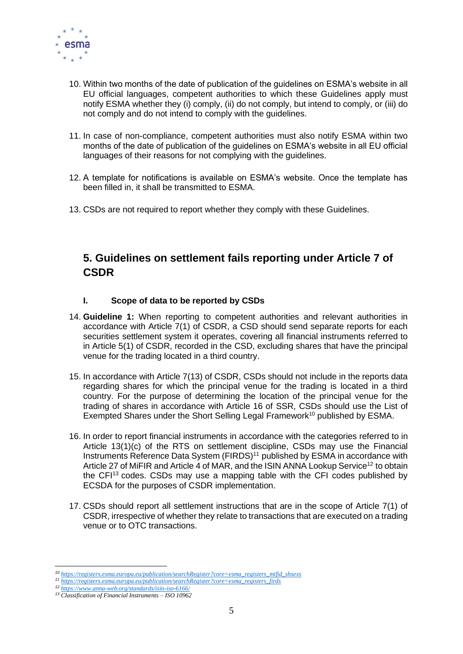

- 10. Within two months of the date of publication of the guidelines on ESMA's website in all EU official languages, competent authorities to which these Guidelines apply must notify ESMA whether they (i) comply, (ii) do not comply, but intend to comply, or (iii) do not comply and do not intend to comply with the guidelines.
- 11. In case of non-compliance, competent authorities must also notify ESMA within two months of the date of publication of the guidelines on ESMA's website in all EU official languages of their reasons for not complying with the guidelines.
- 12. A template for notifications is available on ESMA's website. Once the template has been filled in, it shall be transmitted to ESMA.
- 13. CSDs are not required to report whether they comply with these Guidelines.

# <span id="page-5-0"></span>**5. Guidelines on settlement fails reporting under Article 7 of CSDR**

#### **I. Scope of data to be reported by CSDs**

- 14. **Guideline 1:** When reporting to competent authorities and relevant authorities in accordance with Article 7(1) of CSDR, a CSD should send separate reports for each securities settlement system it operates, covering all financial instruments referred to in Article 5(1) of CSDR, recorded in the CSD, excluding shares that have the principal venue for the trading located in a third country.
- 15. In accordance with Article 7(13) of CSDR, CSDs should not include in the reports data regarding shares for which the principal venue for the trading is located in a third country. For the purpose of determining the location of the principal venue for the trading of shares in accordance with Article 16 of SSR, CSDs should use the List of Exempted Shares under the Short Selling Legal Framework<sup>10</sup> published by ESMA.
- 16. In order to report financial instruments in accordance with the categories referred to in Article 13(1)(c) of the RTS on settlement discipline, CSDs may use the Financial Instruments Reference Data System (FIRDS)<sup>11</sup> published by ESMA in accordance with Article 27 of MiFIR and Article 4 of MAR, and the ISIN ANNA Lookup Service<sup>12</sup> to obtain the CFI<sup>13</sup> codes. CSDs may use a mapping table with the CFI codes published by ECSDA for the purposes of CSDR implementation.
- 17. CSDs should report all settlement instructions that are in the scope of Article 7(1) of CSDR, irrespective of whether they relate to transactions that are executed on a trading venue or to OTC transactions.

*<sup>10</sup> [https://registers.esma.europa.eu/publication/searchRegister?core=esma\\_registers\\_mifid\\_shsexs](https://registers.esma.europa.eu/publication/searchRegister?core=esma_registers_mifid_shsexs)*

*<sup>11</sup> [https://registers.esma.europa.eu/publication/searchRegister?core=esma\\_registers\\_firds](https://registers.esma.europa.eu/publication/searchRegister?core=esma_registers_firds)*

*<sup>12</sup> <https://www.anna-web.org/standards/isin-iso-6166/> <sup>13</sup> Classification of Financial Instruments – ISO 10962*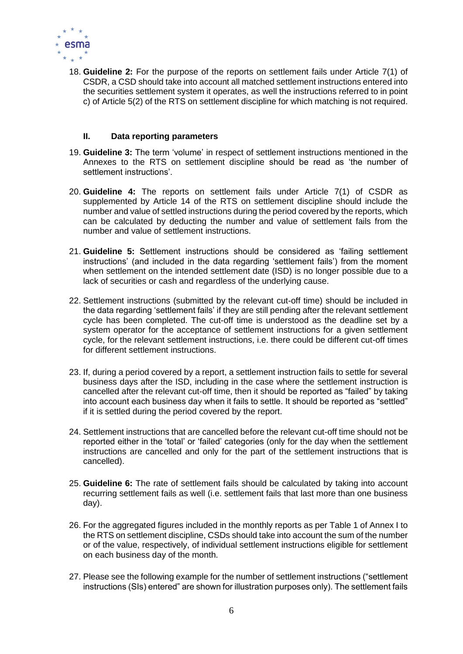

18. **Guideline 2:** For the purpose of the reports on settlement fails under Article 7(1) of CSDR, a CSD should take into account all matched settlement instructions entered into the securities settlement system it operates, as well the instructions referred to in point c) of Article 5(2) of the RTS on settlement discipline for which matching is not required.

#### **II. Data reporting parameters**

- 19. **Guideline 3:** The term 'volume' in respect of settlement instructions mentioned in the Annexes to the RTS on settlement discipline should be read as 'the number of settlement instructions'.
- 20. **Guideline 4:** The reports on settlement fails under Article 7(1) of CSDR as supplemented by Article 14 of the RTS on settlement discipline should include the number and value of settled instructions during the period covered by the reports, which can be calculated by deducting the number and value of settlement fails from the number and value of settlement instructions.
- 21. **Guideline 5:** Settlement instructions should be considered as 'failing settlement instructions' (and included in the data regarding 'settlement fails') from the moment when settlement on the intended settlement date (ISD) is no longer possible due to a lack of securities or cash and regardless of the underlying cause.
- 22. Settlement instructions (submitted by the relevant cut-off time) should be included in the data regarding 'settlement fails' if they are still pending after the relevant settlement cycle has been completed. The cut-off time is understood as the deadline set by a system operator for the acceptance of settlement instructions for a given settlement cycle, for the relevant settlement instructions, i.e. there could be different cut-off times for different settlement instructions.
- 23. If, during a period covered by a report, a settlement instruction fails to settle for several business days after the ISD, including in the case where the settlement instruction is cancelled after the relevant cut-off time, then it should be reported as "failed" by taking into account each business day when it fails to settle. It should be reported as "settled" if it is settled during the period covered by the report.
- 24. Settlement instructions that are cancelled before the relevant cut-off time should not be reported either in the 'total' or 'failed' categories (only for the day when the settlement instructions are cancelled and only for the part of the settlement instructions that is cancelled).
- 25. **Guideline 6:** The rate of settlement fails should be calculated by taking into account recurring settlement fails as well (i.e. settlement fails that last more than one business day).
- 26. For the aggregated figures included in the monthly reports as per Table 1 of Annex I to the RTS on settlement discipline, CSDs should take into account the sum of the number or of the value, respectively, of individual settlement instructions eligible for settlement on each business day of the month.
- 27. Please see the following example for the number of settlement instructions ("settlement instructions (SIs) entered" are shown for illustration purposes only). The settlement fails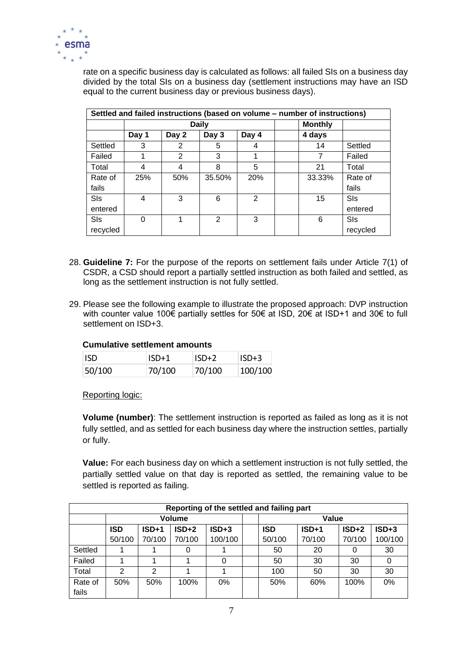

rate on a specific business day is calculated as follows: all failed SIs on a business day divided by the total SIs on a business day (settlement instructions may have an ISD equal to the current business day or previous business days).

|          | Settled and failed instructions (based on volume – number of instructions) |       |                |       |  |                |          |  |  |  |  |  |  |
|----------|----------------------------------------------------------------------------|-------|----------------|-------|--|----------------|----------|--|--|--|--|--|--|
|          |                                                                            |       | <b>Daily</b>   |       |  | <b>Monthly</b> |          |  |  |  |  |  |  |
|          | Day 1                                                                      | Day 2 | Day 3          | Day 4 |  | 4 days         |          |  |  |  |  |  |  |
| Settled  | 3                                                                          | 2     | 5              | 4     |  | 14             | Settled  |  |  |  |  |  |  |
| Failed   |                                                                            | 2     | 3              |       |  | 7              | Failed   |  |  |  |  |  |  |
| Total    | 4                                                                          | 4     | 8              | 5     |  | 21             | Total    |  |  |  |  |  |  |
| Rate of  | 25%                                                                        | 50%   | 35.50%         | 20%   |  | 33.33%         | Rate of  |  |  |  |  |  |  |
| fails    |                                                                            |       |                |       |  |                | fails    |  |  |  |  |  |  |
| SIs      | 4                                                                          | 3     | 6              | 2     |  | 15             | SIs      |  |  |  |  |  |  |
| entered  |                                                                            |       |                |       |  |                | entered  |  |  |  |  |  |  |
| SIs      | 0                                                                          |       | $\mathfrak{p}$ | 3     |  | 6              | SIs      |  |  |  |  |  |  |
| recycled |                                                                            |       |                |       |  |                | recycled |  |  |  |  |  |  |

- 28. **Guideline 7:** For the purpose of the reports on settlement fails under Article 7(1) of CSDR, a CSD should report a partially settled instruction as both failed and settled, as long as the settlement instruction is not fully settled.
- 29. Please see the following example to illustrate the proposed approach: DVP instruction with counter value 100€ partially settles for 50€ at ISD, 20€ at ISD+1 and 30€ to full settlement on ISD+3.

#### **Cumulative settlement amounts**

| HSD.   | $ISD+1$ | $ISD+2$ | $ISD+3$ |
|--------|---------|---------|---------|
| 50/100 | 70/100  | 70/100  | 100/100 |

Reporting logic:

**Volume (number)**: The settlement instruction is reported as failed as long as it is not fully settled, and as settled for each business day where the instruction settles, partially or fully.

**Value:** For each business day on which a settlement instruction is not fully settled, the partially settled value on that day is reported as settled, the remaining value to be settled is reported as failing.

|         | Reporting of the settled and failing part |         |         |         |  |            |         |         |         |  |  |  |  |  |
|---------|-------------------------------------------|---------|---------|---------|--|------------|---------|---------|---------|--|--|--|--|--|
|         |                                           |         | Volume  |         |  | Value      |         |         |         |  |  |  |  |  |
|         | <b>ISD</b>                                | $ISD+1$ | $ISD+2$ | $ISD+3$ |  | <b>ISD</b> | $ISD+1$ | $ISD+2$ | $ISD+3$ |  |  |  |  |  |
|         | 50/100                                    | 70/100  | 70/100  | 100/100 |  | 50/100     | 70/100  | 70/100  | 100/100 |  |  |  |  |  |
| Settled |                                           |         |         |         |  | 50         | 20      |         | 30      |  |  |  |  |  |
| Failed  |                                           |         |         | 0       |  | 50         | 30      | 30      |         |  |  |  |  |  |
| Total   | 2                                         | 2       |         |         |  | 100        | 50      | 30      | 30      |  |  |  |  |  |
| Rate of | 50%                                       | 50%     | 100%    | 0%      |  | 50%        | 60%     | 100%    | 0%      |  |  |  |  |  |
| fails   |                                           |         |         |         |  |            |         |         |         |  |  |  |  |  |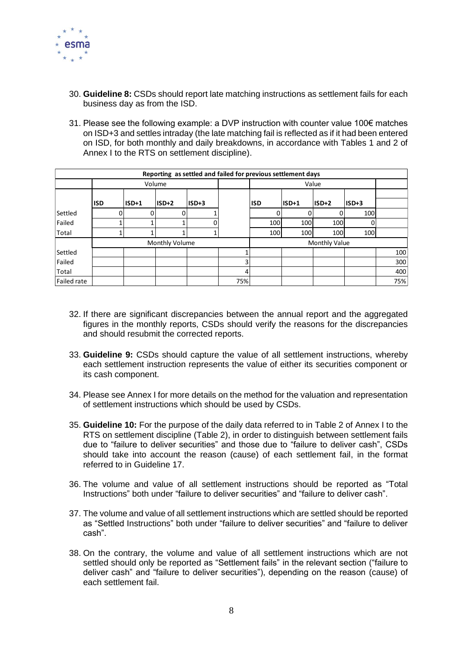

- 30. **Guideline 8:** CSDs should report late matching instructions as settlement fails for each business day as from the ISD.
- 31. Please see the following example: a DVP instruction with counter value 100€ matches on ISD+3 and settles intraday (the late matching fail is reflected as if it had been entered on ISD, for both monthly and daily breakdowns, in accordance with Tables 1 and 2 of Annex I to the RTS on settlement discipline).

|                    |            |       | Reporting as settled and failed for previous settlement days |       |     |               |         |       |         |     |
|--------------------|------------|-------|--------------------------------------------------------------|-------|-----|---------------|---------|-------|---------|-----|
|                    |            |       | Volume                                                       |       |     |               |         |       |         |     |
|                    |            |       |                                                              |       |     |               |         |       |         |     |
|                    | <b>ISD</b> | ISD+1 | $ISD+2$                                                      | ISD+3 |     | <b>ISD</b>    | $ISD+1$ | ISD+2 | $ISD+3$ |     |
| Settled            |            |       |                                                              |       |     |               |         |       | 100     |     |
| Failed             |            |       |                                                              |       |     | 100           | 100     | 100   |         |     |
| Total              |            |       |                                                              |       |     | 100           | 100     | 100   | 100     |     |
|                    |            |       | Monthly Volume                                               |       |     | Monthly Value |         |       |         |     |
| Settled            |            |       |                                                              |       |     |               |         |       |         | 100 |
| Failed             |            |       |                                                              |       | 3   |               |         |       |         | 300 |
| Total              |            |       |                                                              |       | 4   |               |         |       |         | 400 |
| <b>Failed rate</b> |            |       |                                                              |       | 75% |               |         |       |         | 75% |

- 32. If there are significant discrepancies between the annual report and the aggregated figures in the monthly reports, CSDs should verify the reasons for the discrepancies and should resubmit the corrected reports.
- 33. **Guideline 9:** CSDs should capture the value of all settlement instructions, whereby each settlement instruction represents the value of either its securities component or its cash component.
- 34. Please see Annex I for more details on the method for the valuation and representation of settlement instructions which should be used by CSDs.
- 35. **Guideline 10:** For the purpose of the daily data referred to in Table 2 of Annex I to the RTS on settlement discipline (Table 2), in order to distinguish between settlement fails due to "failure to deliver securities" and those due to "failure to deliver cash", CSDs should take into account the reason (cause) of each settlement fail, in the format referred to in Guideline 17.
- 36. The volume and value of all settlement instructions should be reported as "Total Instructions" both under "failure to deliver securities" and "failure to deliver cash".
- 37. The volume and value of all settlement instructions which are settled should be reported as "Settled Instructions" both under "failure to deliver securities" and "failure to deliver cash".
- 38. On the contrary, the volume and value of all settlement instructions which are not settled should only be reported as "Settlement fails" in the relevant section ("failure to deliver cash" and "failure to deliver securities"), depending on the reason (cause) of each settlement fail.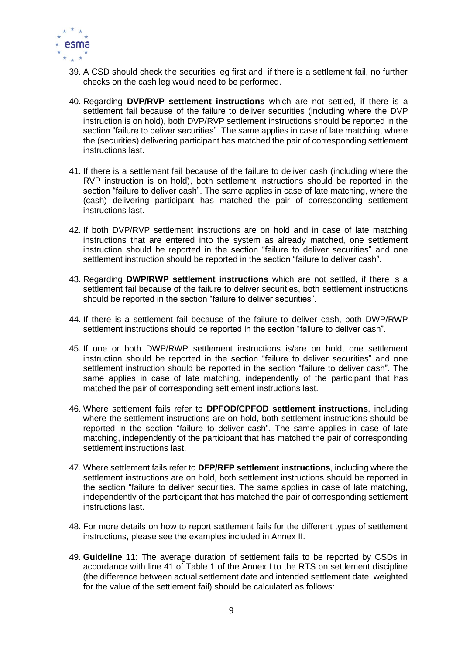

- 39. A CSD should check the securities leg first and, if there is a settlement fail, no further checks on the cash leg would need to be performed.
- 40. Regarding **DVP/RVP settlement instructions** which are not settled, if there is a settlement fail because of the failure to deliver securities (including where the DVP instruction is on hold), both DVP/RVP settlement instructions should be reported in the section "failure to deliver securities". The same applies in case of late matching, where the (securities) delivering participant has matched the pair of corresponding settlement instructions last.
- 41. If there is a settlement fail because of the failure to deliver cash (including where the RVP instruction is on hold), both settlement instructions should be reported in the section "failure to deliver cash". The same applies in case of late matching, where the (cash) delivering participant has matched the pair of corresponding settlement instructions last.
- 42. If both DVP/RVP settlement instructions are on hold and in case of late matching instructions that are entered into the system as already matched, one settlement instruction should be reported in the section "failure to deliver securities" and one settlement instruction should be reported in the section "failure to deliver cash".
- 43. Regarding **DWP/RWP settlement instructions** which are not settled, if there is a settlement fail because of the failure to deliver securities, both settlement instructions should be reported in the section "failure to deliver securities".
- 44. If there is a settlement fail because of the failure to deliver cash, both DWP/RWP settlement instructions should be reported in the section "failure to deliver cash".
- 45. If one or both DWP/RWP settlement instructions is/are on hold, one settlement instruction should be reported in the section "failure to deliver securities" and one settlement instruction should be reported in the section "failure to deliver cash". The same applies in case of late matching, independently of the participant that has matched the pair of corresponding settlement instructions last.
- 46. Where settlement fails refer to **DPFOD/CPFOD settlement instructions**, including where the settlement instructions are on hold, both settlement instructions should be reported in the section "failure to deliver cash". The same applies in case of late matching, independently of the participant that has matched the pair of corresponding settlement instructions last.
- 47. Where settlement fails refer to **DFP/RFP settlement instructions**, including where the settlement instructions are on hold, both settlement instructions should be reported in the section "failure to deliver securities. The same applies in case of late matching, independently of the participant that has matched the pair of corresponding settlement instructions last.
- 48. For more details on how to report settlement fails for the different types of settlement instructions, please see the examples included in Annex II.
- 49. **Guideline 11**: The average duration of settlement fails to be reported by CSDs in accordance with line 41 of Table 1 of the Annex I to the RTS on settlement discipline (the difference between actual settlement date and intended settlement date, weighted for the value of the settlement fail) should be calculated as follows: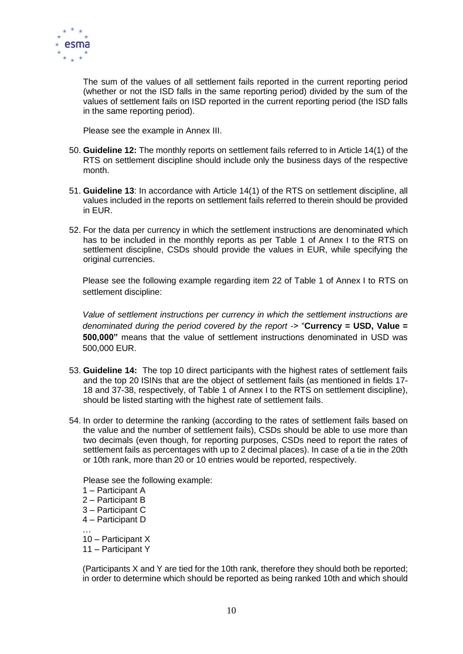

The sum of the values of all settlement fails reported in the current reporting period (whether or not the ISD falls in the same reporting period) divided by the sum of the values of settlement fails on ISD reported in the current reporting period (the ISD falls in the same reporting period).

Please see the example in Annex III.

- 50. **Guideline 12:** The monthly reports on settlement fails referred to in Article 14(1) of the RTS on settlement discipline should include only the business days of the respective month.
- 51. **Guideline 13**: In accordance with Article 14(1) of the RTS on settlement discipline, all values included in the reports on settlement fails referred to therein should be provided in EUR.
- 52. For the data per currency in which the settlement instructions are denominated which has to be included in the monthly reports as per Table 1 of Annex I to the RTS on settlement discipline, CSDs should provide the values in EUR, while specifying the original currencies.

Please see the following example regarding item 22 of Table 1 of Annex I to RTS on settlement discipline:

*Value of settlement instructions per currency in which the settlement instructions are denominated during the period covered by the report* -> "**Currency = USD, Value = 500,000"** means that the value of settlement instructions denominated in USD was 500,000 EUR.

- 53. **Guideline 14:** The top 10 direct participants with the highest rates of settlement fails and the top 20 ISINs that are the object of settlement fails (as mentioned in fields 17- 18 and 37-38, respectively, of Table 1 of Annex I to the RTS on settlement discipline), should be listed starting with the highest rate of settlement fails.
- 54. In order to determine the ranking (according to the rates of settlement fails based on the value and the number of settlement fails), CSDs should be able to use more than two decimals (even though, for reporting purposes, CSDs need to report the rates of settlement fails as percentages with up to 2 decimal places). In case of a tie in the 20th or 10th rank, more than 20 or 10 entries would be reported, respectively.

Please see the following example:

- 1 Participant A
- 2 Participant B
- 3 Participant C
- 4 Participant D
- … 10 – Participant X
- 11 Participant Y

(Participants X and Y are tied for the 10th rank, therefore they should both be reported; in order to determine which should be reported as being ranked 10th and which should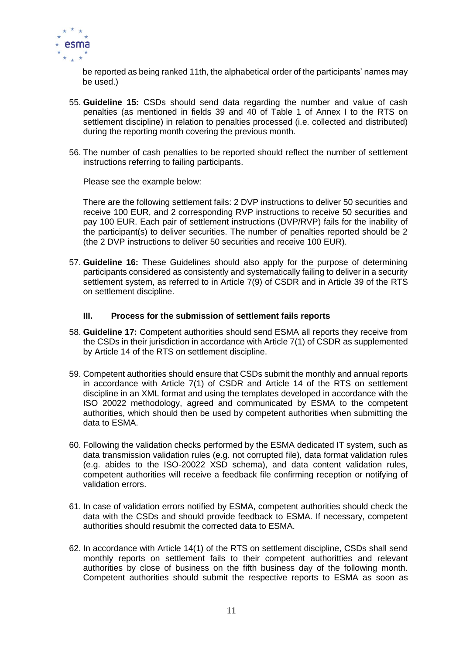

be reported as being ranked 11th, the alphabetical order of the participants' names may be used.)

- 55. **Guideline 15:** CSDs should send data regarding the number and value of cash penalties (as mentioned in fields 39 and 40 of Table 1 of Annex I to the RTS on settlement discipline) in relation to penalties processed (i.e. collected and distributed) during the reporting month covering the previous month.
- 56. The number of cash penalties to be reported should reflect the number of settlement instructions referring to failing participants.

Please see the example below:

There are the following settlement fails: 2 DVP instructions to deliver 50 securities and receive 100 EUR, and 2 corresponding RVP instructions to receive 50 securities and pay 100 EUR. Each pair of settlement instructions (DVP/RVP) fails for the inability of the participant(s) to deliver securities. The number of penalties reported should be 2 (the 2 DVP instructions to deliver 50 securities and receive 100 EUR).

57. **Guideline 16:** These Guidelines should also apply for the purpose of determining participants considered as consistently and systematically failing to deliver in a security settlement system, as referred to in Article 7(9) of CSDR and in Article 39 of the RTS on settlement discipline.

#### **III. Process for the submission of settlement fails reports**

- 58. **Guideline 17:** Competent authorities should send ESMA all reports they receive from the CSDs in their jurisdiction in accordance with Article 7(1) of CSDR as supplemented by Article 14 of the RTS on settlement discipline.
- 59. Competent authorities should ensure that CSDs submit the monthly and annual reports in accordance with Article 7(1) of CSDR and Article 14 of the RTS on settlement discipline in an XML format and using the templates developed in accordance with the ISO 20022 methodology, agreed and communicated by ESMA to the competent authorities, which should then be used by competent authorities when submitting the data to ESMA.
- 60. Following the validation checks performed by the ESMA dedicated IT system, such as data transmission validation rules (e.g. not corrupted file), data format validation rules (e.g. abides to the ISO-20022 XSD schema), and data content validation rules, competent authorities will receive a feedback file confirming reception or notifying of validation errors.
- 61. In case of validation errors notified by ESMA, competent authorities should check the data with the CSDs and should provide feedback to ESMA. If necessary, competent authorities should resubmit the corrected data to ESMA.
- 62. In accordance with Article 14(1) of the RTS on settlement discipline, CSDs shall send monthly reports on settlement fails to their competent authoritties and relevant authorities by close of business on the fifth business day of the following month. Competent authorities should submit the respective reports to ESMA as soon as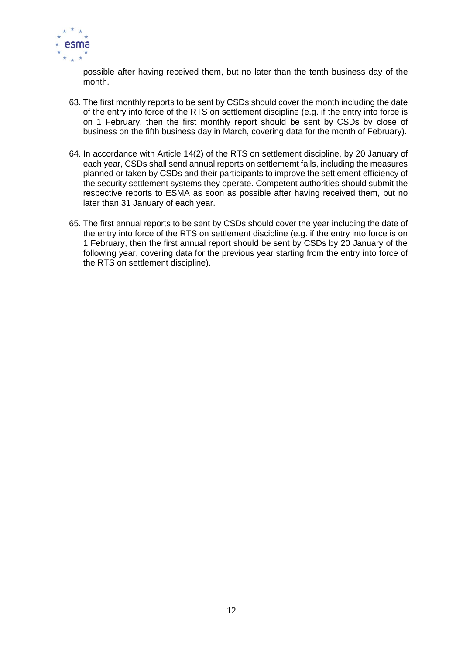

possible after having received them, but no later than the tenth business day of the month.

- 63. The first monthly reports to be sent by CSDs should cover the month including the date of the entry into force of the RTS on settlement discipline (e.g. if the entry into force is on 1 February, then the first monthly report should be sent by CSDs by close of business on the fifth business day in March, covering data for the month of February).
- 64. In accordance with Article 14(2) of the RTS on settlement discipline, by 20 January of each year, CSDs shall send annual reports on settlememt fails, including the measures planned or taken by CSDs and their participants to improve the settlement efficiency of the security settlement systems they operate. Competent authorities should submit the respective reports to ESMA as soon as possible after having received them, but no later than 31 January of each year.
- 65. The first annual reports to be sent by CSDs should cover the year including the date of the entry into force of the RTS on settlement discipline (e.g. if the entry into force is on 1 February, then the first annual report should be sent by CSDs by 20 January of the following year, covering data for the previous year starting from the entry into force of the RTS on settlement discipline).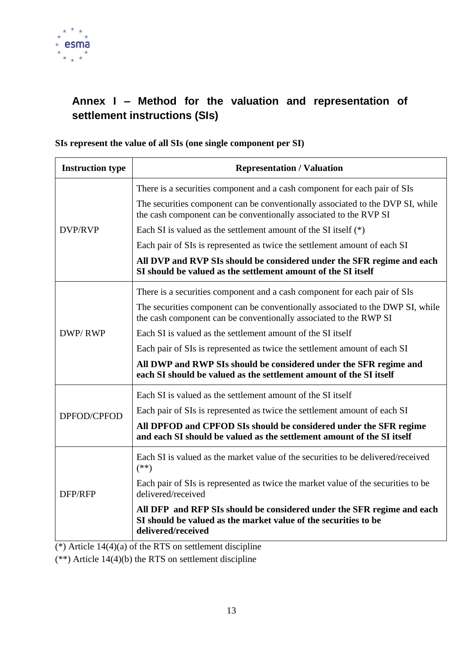

# <span id="page-13-0"></span>**Annex I – Method for the valuation and representation of settlement instructions (SIs)**

#### **SIs represent the value of all SIs (one single component per SI)**

| <b>Instruction type</b> | <b>Representation / Valuation</b>                                                                                                                               |  |  |  |  |  |  |  |
|-------------------------|-----------------------------------------------------------------------------------------------------------------------------------------------------------------|--|--|--|--|--|--|--|
|                         | There is a securities component and a cash component for each pair of SIs                                                                                       |  |  |  |  |  |  |  |
|                         | The securities component can be conventionally associated to the DVP SI, while<br>the cash component can be conventionally associated to the RVP SI             |  |  |  |  |  |  |  |
| <b>DVP/RVP</b>          | Each SI is valued as the settlement amount of the SI itself $(*)$                                                                                               |  |  |  |  |  |  |  |
|                         | Each pair of SIs is represented as twice the settlement amount of each SI                                                                                       |  |  |  |  |  |  |  |
|                         | All DVP and RVP SIs should be considered under the SFR regime and each<br>SI should be valued as the settlement amount of the SI itself                         |  |  |  |  |  |  |  |
|                         | There is a securities component and a cash component for each pair of SIs                                                                                       |  |  |  |  |  |  |  |
| DWP/RWP                 | The securities component can be conventionally associated to the DWP SI, while<br>the cash component can be conventionally associated to the RWP SI             |  |  |  |  |  |  |  |
|                         | Each SI is valued as the settlement amount of the SI itself                                                                                                     |  |  |  |  |  |  |  |
|                         | Each pair of SIs is represented as twice the settlement amount of each SI                                                                                       |  |  |  |  |  |  |  |
|                         | All DWP and RWP SIs should be considered under the SFR regime and<br>each SI should be valued as the settlement amount of the SI itself                         |  |  |  |  |  |  |  |
|                         | Each SI is valued as the settlement amount of the SI itself                                                                                                     |  |  |  |  |  |  |  |
| DPFOD/CPFOD             | Each pair of SIs is represented as twice the settlement amount of each SI                                                                                       |  |  |  |  |  |  |  |
|                         | All DPFOD and CPFOD SIs should be considered under the SFR regime<br>and each SI should be valued as the settlement amount of the SI itself                     |  |  |  |  |  |  |  |
|                         | Each SI is valued as the market value of the securities to be delivered/received<br>$(**)$                                                                      |  |  |  |  |  |  |  |
| DFP/RFP                 | Each pair of SIs is represented as twice the market value of the securities to be<br>delivered/received                                                         |  |  |  |  |  |  |  |
|                         | All DFP and RFP SIs should be considered under the SFR regime and each<br>SI should be valued as the market value of the securities to be<br>delivered/received |  |  |  |  |  |  |  |

 $(*)$  Article 14(4)(a) of the RTS on settlement discipline

 $(**)$  Article 14(4)(b) the RTS on settlement discipline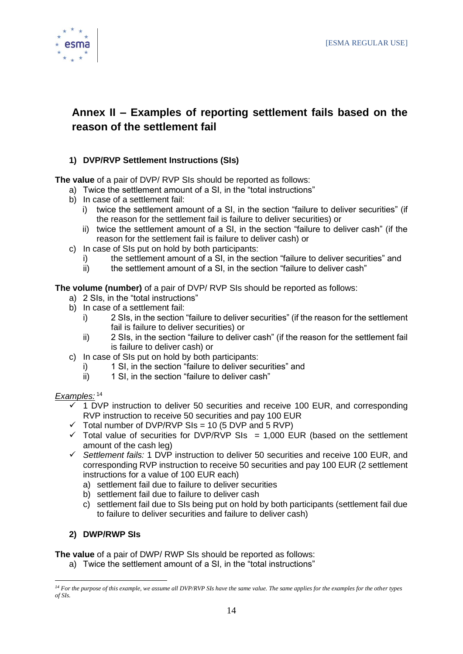



# <span id="page-14-0"></span>**Annex II – Examples of reporting settlement fails based on the reason of the settlement fail**

#### **1) DVP/RVP Settlement Instructions (SIs)**

**The value** of a pair of DVP/ RVP SIs should be reported as follows:

- a) Twice the settlement amount of a SI, in the "total instructions"
- b) In case of a settlement fail:
	- i) twice the settlement amount of a SI, in the section "failure to deliver securities" (if the reason for the settlement fail is failure to deliver securities) or
	- ii) twice the settlement amount of a SI, in the section "failure to deliver cash" (if the reason for the settlement fail is failure to deliver cash) or
- c) In case of SIs put on hold by both participants:
	- i) the settlement amount of a SI, in the section "failure to deliver securities" and
	- ii) the settlement amount of a SI, in the section "failure to deliver cash"

**The volume (number)** of a pair of DVP/ RVP SIs should be reported as follows:

- a) 2 SIs, in the "total instructions"
- b) In case of a settlement fail:
	- i) 2 SIs, in the section "failure to deliver securities" (if the reason for the settlement fail is failure to deliver securities) or
	- ii) 2 SIs, in the section "failure to deliver cash" (if the reason for the settlement fail is failure to deliver cash) or
- c) In case of SIs put on hold by both participants:
	- i) 1 SI, in the section "failure to deliver securities" and
	- ii) 1 SI, in the section "failure to deliver cash"

#### *Examples:* <sup>14</sup>

- $\checkmark$  1 DVP instruction to deliver 50 securities and receive 100 EUR, and corresponding RVP instruction to receive 50 securities and pay 100 EUR
- $\checkmark$  Total number of DVP/RVP SIs = 10 (5 DVP and 5 RVP)
- $\checkmark$  Total value of securities for DVP/RVP SIs = 1,000 EUR (based on the settlement amount of the cash leg)
- ✓ *Settlement fails:* 1 DVP instruction to deliver 50 securities and receive 100 EUR, and corresponding RVP instruction to receive 50 securities and pay 100 EUR (2 settlement instructions for a value of 100 EUR each)
	- a) settlement fail due to failure to deliver securities
	- b) settlement fail due to failure to deliver cash
	- c) settlement fail due to SIs being put on hold by both participants (settlement fail due to failure to deliver securities and failure to deliver cash)

#### **2) DWP/RWP SIs**

**The value** of a pair of DWP/ RWP SIs should be reported as follows:

a) Twice the settlement amount of a SI, in the "total instructions"

*<sup>14</sup> For the purpose of this example, we assume all DVP/RVP SIs have the same value. The same applies for the examples for the other types of SIs.*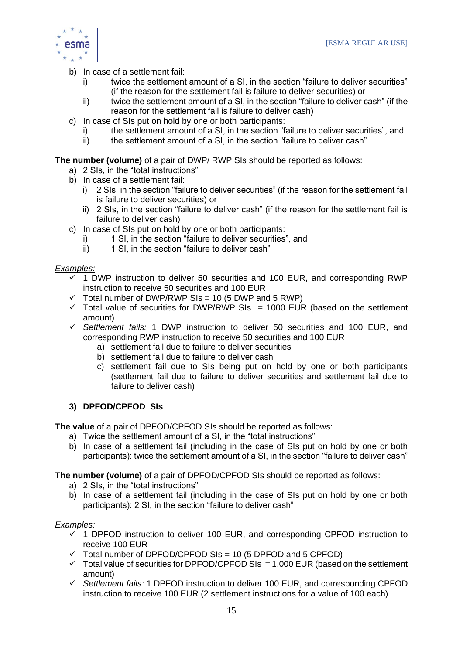

- b) In case of a settlement fail:
	- i) twice the settlement amount of a SI, in the section "failure to deliver securities" (if the reason for the settlement fail is failure to deliver securities) or
	- ii) twice the settlement amount of a SI, in the section "failure to deliver cash" (if the reason for the settlement fail is failure to deliver cash)
- c) In case of SIs put on hold by one or both participants:
	- i) the settlement amount of a SI, in the section "failure to deliver securities", and
		- ii) the settlement amount of a SI, in the section "failure to deliver cash"

**The number (volume)** of a pair of DWP/ RWP SIs should be reported as follows:

- a) 2 SIs, in the "total instructions"
- b) In case of a settlement fail:
	- i) 2 SIs, in the section "failure to deliver securities" (if the reason for the settlement fail is failure to deliver securities) or
	- ii) 2 SIs, in the section "failure to deliver cash" (if the reason for the settlement fail is failure to deliver cash)
- c) In case of SIs put on hold by one or both participants:
	- i) 1 SI, in the section "failure to deliver securities", and
	- ii) 1 SI, in the section "failure to deliver cash"

#### *Examples:*

- $\checkmark$  1 DWP instruction to deliver 50 securities and 100 EUR, and corresponding RWP instruction to receive 50 securities and 100 EUR
- $\checkmark$  Total number of DWP/RWP SIs = 10 (5 DWP and 5 RWP)
- $\checkmark$  Total value of securities for DWP/RWP SIs = 1000 EUR (based on the settlement amount)
- ✓ *Settlement fails:* 1 DWP instruction to deliver 50 securities and 100 EUR, and corresponding RWP instruction to receive 50 securities and 100 EUR
	- a) settlement fail due to failure to deliver securities
	- b) settlement fail due to failure to deliver cash
	- c) settlement fail due to SIs being put on hold by one or both participants (settlement fail due to failure to deliver securities and settlement fail due to failure to deliver cash)

#### **3) DPFOD/CPFOD SIs**

**The value** of a pair of DPFOD/CPFOD SIs should be reported as follows:

- a) Twice the settlement amount of a SI, in the "total instructions"
- b) In case of a settlement fail (including in the case of SIs put on hold by one or both participants): twice the settlement amount of a SI, in the section "failure to deliver cash"

**The number (volume)** of a pair of DPFOD/CPFOD SIs should be reported as follows:

- a) 2 SIs, in the "total instructions"
- b) In case of a settlement fail (including in the case of SIs put on hold by one or both participants): 2 SI, in the section "failure to deliver cash"

#### *Examples:*

- $\checkmark$  1 DPFOD instruction to deliver 100 EUR, and corresponding CPFOD instruction to receive 100 EUR
- $\checkmark$  Total number of DPFOD/CPFOD SIs = 10 (5 DPFOD and 5 CPFOD)
- $\checkmark$  Total value of securities for DPFOD/CPFOD SIs = 1,000 EUR (based on the settlement amount)
- ✓ *Settlement fails:* 1 DPFOD instruction to deliver 100 EUR, and corresponding CPFOD instruction to receive 100 EUR (2 settlement instructions for a value of 100 each)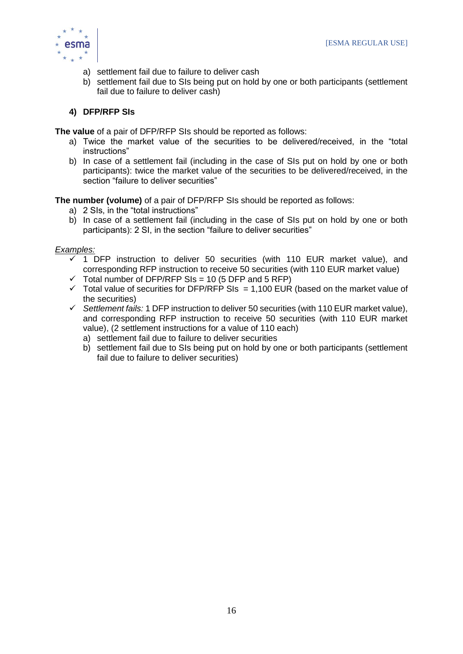

- a) settlement fail due to failure to deliver cash
- b) settlement fail due to SIs being put on hold by one or both participants (settlement fail due to failure to deliver cash)

#### **4) DFP/RFP SIs**

**The value** of a pair of DFP/RFP SIs should be reported as follows:

- a) Twice the market value of the securities to be delivered/received, in the "total instructions"
- b) In case of a settlement fail (including in the case of SIs put on hold by one or both participants): twice the market value of the securities to be delivered/received, in the section "failure to deliver securities"

**The number (volume)** of a pair of DFP/RFP SIs should be reported as follows:

- a) 2 SIs, in the "total instructions"
- b) In case of a settlement fail (including in the case of SIs put on hold by one or both participants): 2 SI, in the section "failure to deliver securities"

#### *Examples:*

- $\checkmark$  1 DFP instruction to deliver 50 securities (with 110 EUR market value), and corresponding RFP instruction to receive 50 securities (with 110 EUR market value)
- $\checkmark$  Total number of DFP/RFP SIs = 10 (5 DFP and 5 RFP)
- $\checkmark$  Total value of securities for DFP/RFP SIs = 1,100 EUR (based on the market value of the securities)
- ✓ *Settlement fails:* 1 DFP instruction to deliver 50 securities (with 110 EUR market value), and corresponding RFP instruction to receive 50 securities (with 110 EUR market value), (2 settlement instructions for a value of 110 each)
	- a) settlement fail due to failure to deliver securities
	- b) settlement fail due to SIs being put on hold by one or both participants (settlement fail due to failure to deliver securities)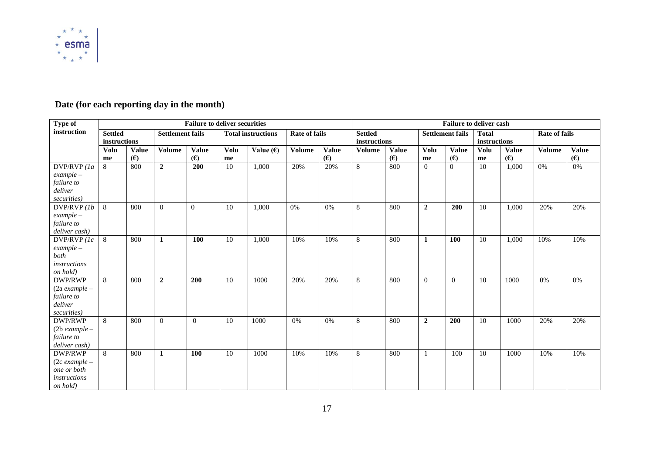

# **Date (for each reporting day in the month)**

| Type of                |                | <b>Failure to deliver securities</b> |                         |              |      |                           |                      |              | <b>Failure to deliver cash</b> |              |                |                         |              |              |                      |              |
|------------------------|----------------|--------------------------------------|-------------------------|--------------|------|---------------------------|----------------------|--------------|--------------------------------|--------------|----------------|-------------------------|--------------|--------------|----------------------|--------------|
| instruction            | <b>Settled</b> |                                      | <b>Settlement fails</b> |              |      | <b>Total instructions</b> | <b>Rate of fails</b> |              | <b>Settled</b>                 |              |                | <b>Settlement fails</b> | <b>Total</b> |              | <b>Rate of fails</b> |              |
|                        | instructions   |                                      |                         |              |      |                           |                      |              | instructions                   |              |                |                         | instructions |              |                      |              |
|                        | <b>Volu</b>    | <b>Value</b>                         | <b>Volume</b>           | <b>Value</b> | Volu | Value $(E)$               | <b>Volume</b>        | <b>Value</b> | <b>Volume</b>                  | <b>Value</b> | Volu           | <b>Value</b>            | <b>Volu</b>  | <b>Value</b> | <b>Volume</b>        | <b>Value</b> |
|                        | me             | (E)                                  |                         | (E)          | me   |                           |                      | (E)          |                                | (E)          | me             | (E)                     | me           | (E)          |                      | (E)          |
| $DVP/RVP$ (1a          | 8              | 800                                  | $\overline{2}$          | 200          | 10   | 1,000                     | 20%                  | 20%          | 8                              | 800          | $\Omega$       | $\Omega$                | 10           | 1,000        | 0%                   | $0\%$        |
| $example-$             |                |                                      |                         |              |      |                           |                      |              |                                |              |                |                         |              |              |                      |              |
| failure to             |                |                                      |                         |              |      |                           |                      |              |                                |              |                |                         |              |              |                      |              |
| deliver                |                |                                      |                         |              |      |                           |                      |              |                                |              |                |                         |              |              |                      |              |
| securities)            |                |                                      |                         |              |      |                           |                      |              |                                |              |                |                         |              |              |                      |              |
| DVP/RVP(1b             | 8              | 800                                  | $\Omega$                | $\Omega$     | 10   | 1,000                     | 0%                   | 0%           | 8                              | 800          | $\overline{2}$ | 200                     | 10           | 1,000        | 20%                  | 20%          |
| $example-$             |                |                                      |                         |              |      |                           |                      |              |                                |              |                |                         |              |              |                      |              |
| failure to             |                |                                      |                         |              |      |                           |                      |              |                                |              |                |                         |              |              |                      |              |
| deliver cash)          |                |                                      |                         |              |      |                           |                      |              |                                |              |                |                         |              |              |                      |              |
| DVP/RVP (1c)           | 8              | 800                                  | 1                       | 100          | 10   | 1,000                     | 10%                  | 10%          | 8                              | 800          | 1              | 100                     | 10           | 1,000        | 10%                  | 10%          |
| $example-$             |                |                                      |                         |              |      |                           |                      |              |                                |              |                |                         |              |              |                      |              |
| both                   |                |                                      |                         |              |      |                           |                      |              |                                |              |                |                         |              |              |                      |              |
| instructions           |                |                                      |                         |              |      |                           |                      |              |                                |              |                |                         |              |              |                      |              |
| on hold)               |                |                                      |                         |              |      |                           |                      |              |                                |              |                |                         |              |              |                      |              |
| <b>DWP/RWP</b>         | 8              | 800                                  | $\overline{2}$          | 200          | 10   | 1000                      | 20%                  | 20%          | 8                              | 800          | $\mathbf{0}$   | $\theta$                | 10           | 1000         | 0%                   | 0%           |
| $(2a$ example $-$      |                |                                      |                         |              |      |                           |                      |              |                                |              |                |                         |              |              |                      |              |
| failure to             |                |                                      |                         |              |      |                           |                      |              |                                |              |                |                         |              |              |                      |              |
| deliver                |                |                                      |                         |              |      |                           |                      |              |                                |              |                |                         |              |              |                      |              |
| securities)<br>DWP/RWP | 8              | 800                                  | $\theta$                | $\Omega$     | 10   | 1000                      | 0%                   | 0%           | 8                              | 800          | $\overline{2}$ | 200                     | 10           | 1000         | 20%                  | 20%          |
| $(2b$ example $-$      |                |                                      |                         |              |      |                           |                      |              |                                |              |                |                         |              |              |                      |              |
| failure to             |                |                                      |                         |              |      |                           |                      |              |                                |              |                |                         |              |              |                      |              |
| deliver cash)          |                |                                      |                         |              |      |                           |                      |              |                                |              |                |                         |              |              |                      |              |
| DWP/RWP                | 8              | 800                                  | $\mathbf{1}$            | 100          | 10   | 1000                      | 10%                  | 10%          | 8                              | 800          |                | 100                     | 10           | 1000         | 10%                  | 10%          |
| $(2c example -$        |                |                                      |                         |              |      |                           |                      |              |                                |              |                |                         |              |              |                      |              |
| one or both            |                |                                      |                         |              |      |                           |                      |              |                                |              |                |                         |              |              |                      |              |
| instructions           |                |                                      |                         |              |      |                           |                      |              |                                |              |                |                         |              |              |                      |              |
| on hold)               |                |                                      |                         |              |      |                           |                      |              |                                |              |                |                         |              |              |                      |              |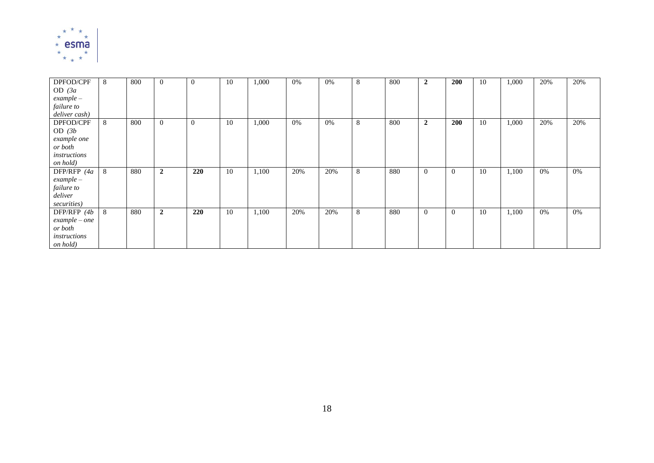

| DPFOD/CPF     | 8 | 800 | $\overline{0}$ | $\overline{0}$ | 10 | 1,000 | $0\%$ | 0%  | 8 | 800 | $\boldsymbol{2}$ | 200            | 10 | 1,000 | 20% | 20% |
|---------------|---|-----|----------------|----------------|----|-------|-------|-----|---|-----|------------------|----------------|----|-------|-----|-----|
| OD $(3a)$     |   |     |                |                |    |       |       |     |   |     |                  |                |    |       |     |     |
| $example-$    |   |     |                |                |    |       |       |     |   |     |                  |                |    |       |     |     |
| failure to    |   |     |                |                |    |       |       |     |   |     |                  |                |    |       |     |     |
| deliver cash) |   |     |                |                |    |       |       |     |   |     |                  |                |    |       |     |     |
| DPFOD/CPF     | 8 | 800 | $\overline{0}$ | $\overline{0}$ | 10 | 1,000 | 0%    | 0%  | 8 | 800 | $\overline{2}$   | <b>200</b>     | 10 | 1,000 | 20% | 20% |
| OD $(3b)$     |   |     |                |                |    |       |       |     |   |     |                  |                |    |       |     |     |
| example one   |   |     |                |                |    |       |       |     |   |     |                  |                |    |       |     |     |
| or both       |   |     |                |                |    |       |       |     |   |     |                  |                |    |       |     |     |
| instructions  |   |     |                |                |    |       |       |     |   |     |                  |                |    |       |     |     |
| on hold)      |   |     |                |                |    |       |       |     |   |     |                  |                |    |       |     |     |
| DFP/RFP (4a   | 8 | 880 | $\overline{2}$ | 220            | 10 | 1,100 | 20%   | 20% | 8 | 880 | $\Omega$         | $\theta$       | 10 | 1,100 | 0%  | 0%  |
| $example-$    |   |     |                |                |    |       |       |     |   |     |                  |                |    |       |     |     |
| failure to    |   |     |                |                |    |       |       |     |   |     |                  |                |    |       |     |     |
| deliver       |   |     |                |                |    |       |       |     |   |     |                  |                |    |       |     |     |
| securities)   |   |     |                |                |    |       |       |     |   |     |                  |                |    |       |     |     |
| DFP/RFP (4b   | 8 | 880 | $\overline{2}$ | 220            | 10 | 1,100 | 20%   | 20% | 8 | 880 | $\theta$         | $\overline{0}$ | 10 | 1,100 | 0%  | 0%  |
| $example-one$ |   |     |                |                |    |       |       |     |   |     |                  |                |    |       |     |     |
| or both       |   |     |                |                |    |       |       |     |   |     |                  |                |    |       |     |     |
| instructions  |   |     |                |                |    |       |       |     |   |     |                  |                |    |       |     |     |
| on hold)      |   |     |                |                |    |       |       |     |   |     |                  |                |    |       |     |     |